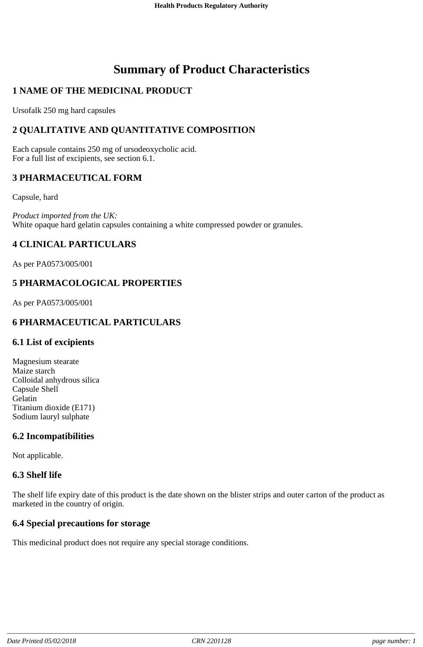# **Summary of Product Characteristics**

# **1 NAME OF THE MEDICINAL PRODUCT**

Ursofalk 250 mg hard capsules

# **2 QUALITATIVE AND QUANTITATIVE COMPOSITION**

Each capsule contains 250 mg of ursodeoxycholic acid. For a full list of excipients, see section 6.1.

## **3 PHARMACEUTICAL FORM**

Capsule, hard

*Product imported from the UK:* White opaque hard gelatin capsules containing a white compressed powder or granules.

# **4 CLINICAL PARTICULARS**

As per PA0573/005/001

# **5 PHARMACOLOGICAL PROPERTIES**

As per PA0573/005/001

# **6 PHARMACEUTICAL PARTICULARS**

#### **6.1 List of excipients**

Magnesium stearate Maize starch Colloidal anhydrous silica Capsule Shell Gelatin Titanium dioxide (E171) Sodium lauryl sulphate

## **6.2 Incompatibilities**

Not applicable.

## **6.3 Shelf life**

The shelf life expiry date of this product is the date shown on the blister strips and outer carton of the product as marketed in the country of origin.

## **6.4 Special precautions for storage**

This medicinal product does not require any special storage conditions.